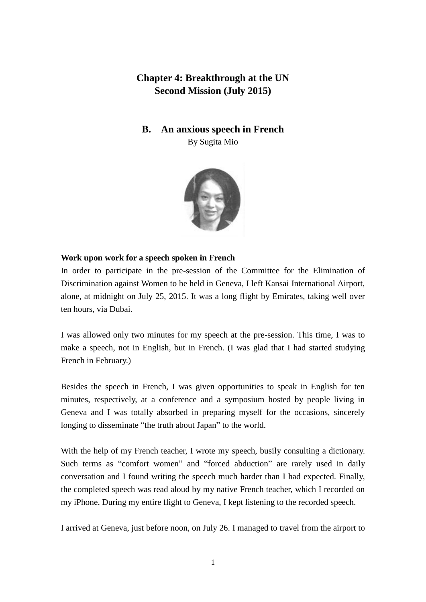# **Chapter 4: Breakthrough at the UN Second Mission (July 2015)**

## **B. An anxious speech in French**

By Sugita Mio



### **Work upon work for a speech spoken in French**

In order to participate in the pre-session of the Committee for the Elimination of Discrimination against Women to be held in Geneva, I left Kansai International Airport, alone, at midnight on July 25, 2015. It was a long flight by Emirates, taking well over ten hours, via Dubai.

I was allowed only two minutes for my speech at the pre-session. This time, I was to make a speech, not in English, but in French. (I was glad that I had started studying French in February.)

Besides the speech in French, I was given opportunities to speak in English for ten minutes, respectively, at a conference and a symposium hosted by people living in Geneva and I was totally absorbed in preparing myself for the occasions, sincerely longing to disseminate "the truth about Japan" to the world.

With the help of my French teacher, I wrote my speech, busily consulting a dictionary. Such terms as "comfort women" and "forced abduction" are rarely used in daily conversation and I found writing the speech much harder than I had expected. Finally, the completed speech was read aloud by my native French teacher, which I recorded on my iPhone. During my entire flight to Geneva, I kept listening to the recorded speech.

I arrived at Geneva, just before noon, on July 26. I managed to travel from the airport to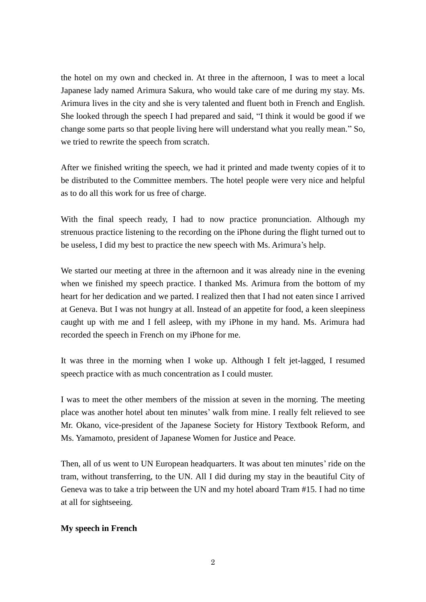the hotel on my own and checked in. At three in the afternoon, I was to meet a local Japanese lady named Arimura Sakura, who would take care of me during my stay. Ms. Arimura lives in the city and she is very talented and fluent both in French and English. She looked through the speech I had prepared and said, "I think it would be good if we change some parts so that people living here will understand what you really mean." So, we tried to rewrite the speech from scratch.

After we finished writing the speech, we had it printed and made twenty copies of it to be distributed to the Committee members. The hotel people were very nice and helpful as to do all this work for us free of charge.

With the final speech ready, I had to now practice pronunciation. Although my strenuous practice listening to the recording on the iPhone during the flight turned out to be useless, I did my best to practice the new speech with Ms. Arimura's help.

We started our meeting at three in the afternoon and it was already nine in the evening when we finished my speech practice. I thanked Ms. Arimura from the bottom of my heart for her dedication and we parted. I realized then that I had not eaten since I arrived at Geneva. But I was not hungry at all. Instead of an appetite for food, a keen sleepiness caught up with me and I fell asleep, with my iPhone in my hand. Ms. Arimura had recorded the speech in French on my iPhone for me.

It was three in the morning when I woke up. Although I felt jet-lagged, I resumed speech practice with as much concentration as I could muster.

I was to meet the other members of the mission at seven in the morning. The meeting place was another hotel about ten minutes' walk from mine. I really felt relieved to see Mr. Okano, vice-president of the Japanese Society for History Textbook Reform, and Ms. Yamamoto, president of Japanese Women for Justice and Peace.

Then, all of us went to UN European headquarters. It was about ten minutes' ride on the tram, without transferring, to the UN. All I did during my stay in the beautiful City of Geneva was to take a trip between the UN and my hotel aboard Tram #15. I had no time at all for sightseeing.

### **My speech in French**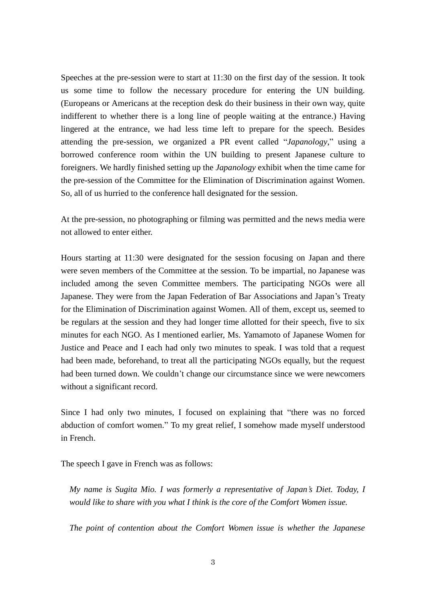Speeches at the pre-session were to start at 11:30 on the first day of the session. It took us some time to follow the necessary procedure for entering the UN building. (Europeans or Americans at the reception desk do their business in their own way, quite indifferent to whether there is a long line of people waiting at the entrance.) Having lingered at the entrance, we had less time left to prepare for the speech. Besides attending the pre-session, we organized a PR event called "*Japanology*," using a borrowed conference room within the UN building to present Japanese culture to foreigners. We hardly finished setting up the *Japanology* exhibit when the time came for the pre-session of the Committee for the Elimination of Discrimination against Women. So, all of us hurried to the conference hall designated for the session.

At the pre-session, no photographing or filming was permitted and the news media were not allowed to enter either.

Hours starting at 11:30 were designated for the session focusing on Japan and there were seven members of the Committee at the session. To be impartial, no Japanese was included among the seven Committee members. The participating NGOs were all Japanese. They were from the Japan Federation of Bar Associations and Japan's Treaty for the Elimination of Discrimination against Women. All of them, except us, seemed to be regulars at the session and they had longer time allotted for their speech, five to six minutes for each NGO. As I mentioned earlier, Ms. Yamamoto of Japanese Women for Justice and Peace and I each had only two minutes to speak. I was told that a request had been made, beforehand, to treat all the participating NGOs equally, but the request had been turned down. We couldn't change our circumstance since we were newcomers without a significant record.

Since I had only two minutes, I focused on explaining that "there was no forced abduction of comfort women." To my great relief, I somehow made myself understood in French.

The speech I gave in French was as follows:

*My name is Sugita Mio. I was formerly a representative of Japan's Diet. Today, I would like to share with you what I think is the core of the Comfort Women issue.*

*The point of contention about the Comfort Women issue is whether the Japanese*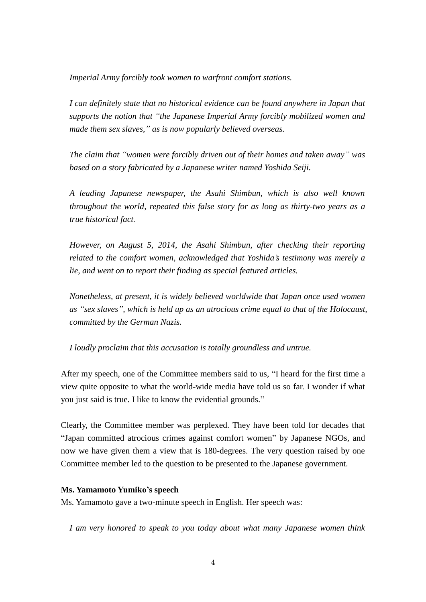*Imperial Army forcibly took women to warfront comfort stations.*

*I can definitely state that no historical evidence can be found anywhere in Japan that supports the notion that "the Japanese Imperial Army forcibly mobilized women and made them sex slaves," as is now popularly believed overseas.*

*The claim that "women were forcibly driven out of their homes and taken away" was based on a story fabricated by a Japanese writer named Yoshida Seiji.* 

*A leading Japanese newspaper, the Asahi Shimbun, which is also well known throughout the world, repeated this false story for as long as thirty-two years as a true historical fact.*

*However, on August 5, 2014, the Asahi Shimbun, after checking their reporting related to the comfort women, acknowledged that Yoshida's testimony was merely a lie, and went on to report their finding as special featured articles.* 

*Nonetheless, at present, it is widely believed worldwide that Japan once used women as "sex slaves", which is held up as an atrocious crime equal to that of the Holocaust, committed by the German Nazis.* 

*I loudly proclaim that this accusation is totally groundless and untrue.*

After my speech, one of the Committee members said to us, "I heard for the first time a view quite opposite to what the world-wide media have told us so far. I wonder if what you just said is true. I like to know the evidential grounds."

Clearly, the Committee member was perplexed. They have been told for decades that "Japan committed atrocious crimes against comfort women" by Japanese NGOs, and now we have given them a view that is 180-degrees. The very question raised by one Committee member led to the question to be presented to the Japanese government.

#### **Ms. Yamamoto Yumiko's speech**

Ms. Yamamoto gave a two-minute speech in English. Her speech was:

*I am very honored to speak to you today about what many Japanese women think*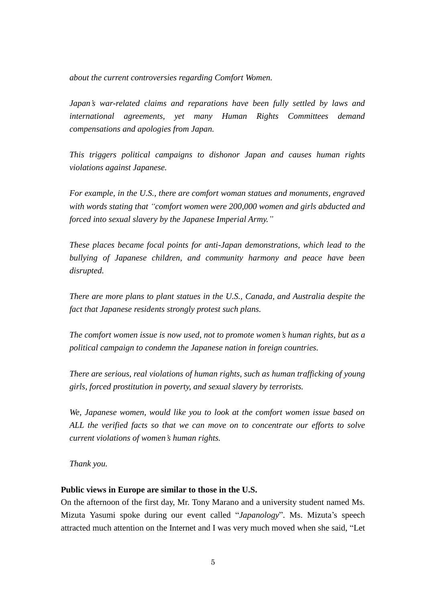*about the current controversies regarding Comfort Women.* 

*Japan's war-related claims and reparations have been fully settled by laws and international agreements, yet many Human Rights Committees demand compensations and apologies from Japan.*

*This triggers political campaigns to dishonor Japan and causes human rights violations against Japanese.* 

*For example, in the U.S., there are comfort woman statues and monuments, engraved with words stating that "comfort women were 200,000 women and girls abducted and forced into sexual slavery by the Japanese Imperial Army."*

*These places became focal points for anti-Japan demonstrations, which lead to the bullying of Japanese children, and community harmony and peace have been disrupted.* 

*There are more plans to plant statues in the U.S., Canada, and Australia despite the fact that Japanese residents strongly protest such plans.* 

*The comfort women issue is now used, not to promote women's human rights, but as a political campaign to condemn the Japanese nation in foreign countries.* 

*There are serious, real violations of human rights, such as human trafficking of young girls, forced prostitution in poverty, and sexual slavery by terrorists.* 

*We, Japanese women, would like you to look at the comfort women issue based on ALL the verified facts so that we can move on to concentrate our efforts to solve current violations of women's human rights.* 

*Thank you.* 

#### **Public views in Europe are similar to those in the U.S.**

On the afternoon of the first day, Mr. Tony Marano and a university student named Ms. Mizuta Yasumi spoke during our event called "*Japanology*". Ms. Mizuta's speech attracted much attention on the Internet and I was very much moved when she said, "Let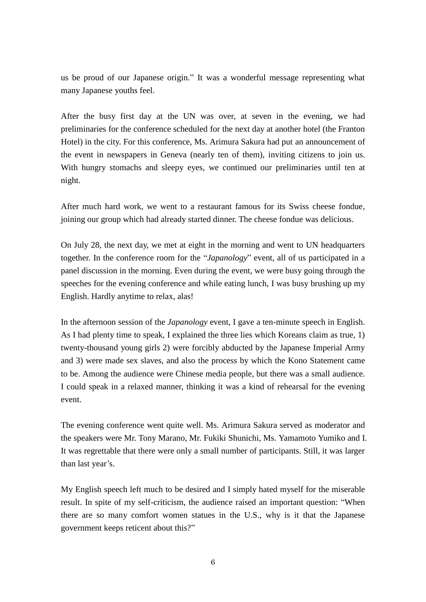us be proud of our Japanese origin." It was a wonderful message representing what many Japanese youths feel.

After the busy first day at the UN was over, at seven in the evening, we had preliminaries for the conference scheduled for the next day at another hotel (the Franton Hotel) in the city. For this conference, Ms. Arimura Sakura had put an announcement of the event in newspapers in Geneva (nearly ten of them), inviting citizens to join us. With hungry stomachs and sleepy eyes, we continued our preliminaries until ten at night.

After much hard work, we went to a restaurant famous for its Swiss cheese fondue, joining our group which had already started dinner. The cheese fondue was delicious.

On July 28, the next day, we met at eight in the morning and went to UN headquarters together. In the conference room for the "*Japanology*" event, all of us participated in a panel discussion in the morning. Even during the event, we were busy going through the speeches for the evening conference and while eating lunch, I was busy brushing up my English. Hardly anytime to relax, alas!

In the afternoon session of the *Japanology* event, I gave a ten-minute speech in English. As I had plenty time to speak, I explained the three lies which Koreans claim as true, 1) twenty-thousand young girls 2) were forcibly abducted by the Japanese Imperial Army and 3) were made sex slaves, and also the process by which the Kono Statement came to be. Among the audience were Chinese media people, but there was a small audience. I could speak in a relaxed manner, thinking it was a kind of rehearsal for the evening event.

The evening conference went quite well. Ms. Arimura Sakura served as moderator and the speakers were Mr. Tony Marano, Mr. Fukiki Shunichi, Ms. Yamamoto Yumiko and I. It was regrettable that there were only a small number of participants. Still, it was larger than last year's.

My English speech left much to be desired and I simply hated myself for the miserable result. In spite of my self-criticism, the audience raised an important question: "When there are so many comfort women statues in the U.S., why is it that the Japanese government keeps reticent about this?"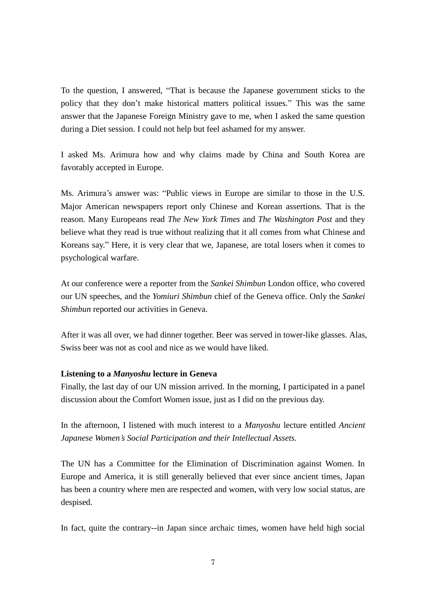To the question, I answered, "That is because the Japanese government sticks to the policy that they don't make historical matters political issues." This was the same answer that the Japanese Foreign Ministry gave to me, when I asked the same question during a Diet session. I could not help but feel ashamed for my answer.

I asked Ms. Arimura how and why claims made by China and South Korea are favorably accepted in Europe.

Ms. Arimura's answer was: "Public views in Europe are similar to those in the U.S. Major American newspapers report only Chinese and Korean assertions. That is the reason. Many Europeans read *The New York Times* and *The Washington Post* and they believe what they read is true without realizing that it all comes from what Chinese and Koreans say." Here, it is very clear that we, Japanese, are total losers when it comes to psychological warfare.

At our conference were a reporter from the *Sankei Shimbun* London office, who covered our UN speeches, and the *Yomiuri Shimbun* chief of the Geneva office. Only the *Sankei Shimbun* reported our activities in Geneva.

After it was all over, we had dinner together. Beer was served in tower-like glasses. Alas, Swiss beer was not as cool and nice as we would have liked.

### **Listening to a** *Manyoshu* **lecture in Geneva**

Finally, the last day of our UN mission arrived. In the morning, I participated in a panel discussion about the Comfort Women issue, just as I did on the previous day.

In the afternoon, I listened with much interest to a *Manyoshu* lecture entitled *Ancient Japanese Women's Social Participation and their Intellectual Assets.*

The UN has a Committee for the Elimination of Discrimination against Women. In Europe and America, it is still generally believed that ever since ancient times, Japan has been a country where men are respected and women, with very low social status, are despised.

In fact, quite the contrary--in Japan since archaic times, women have held high social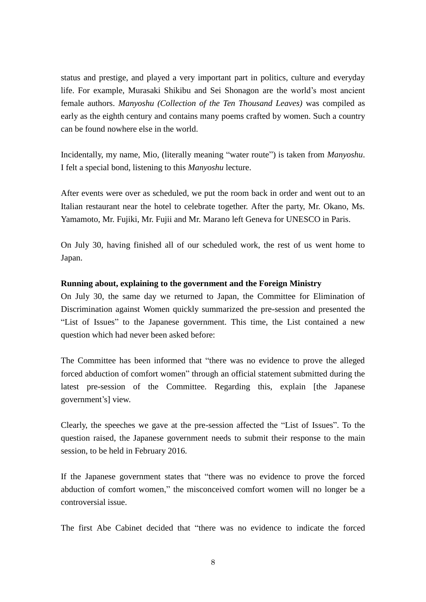status and prestige, and played a very important part in politics, culture and everyday life. For example, Murasaki Shikibu and Sei Shonagon are the world's most ancient female authors. *Manyoshu (Collection of the Ten Thousand Leaves)* was compiled as early as the eighth century and contains many poems crafted by women. Such a country can be found nowhere else in the world.

Incidentally, my name, Mio, (literally meaning "water route") is taken from *Manyoshu*. I felt a special bond, listening to this *Manyoshu* lecture.

After events were over as scheduled, we put the room back in order and went out to an Italian restaurant near the hotel to celebrate together. After the party, Mr. Okano, Ms. Yamamoto, Mr. Fujiki, Mr. Fujii and Mr. Marano left Geneva for UNESCO in Paris.

On July 30, having finished all of our scheduled work, the rest of us went home to Japan.

### **Running about, explaining to the government and the Foreign Ministry**

On July 30, the same day we returned to Japan, the Committee for Elimination of Discrimination against Women quickly summarized the pre-session and presented the "List of Issues" to the Japanese government. This time, the List contained a new question which had never been asked before:

The Committee has been informed that "there was no evidence to prove the alleged forced abduction of comfort women" through an official statement submitted during the latest pre-session of the Committee. Regarding this, explain [the Japanese government's] view.

Clearly, the speeches we gave at the pre-session affected the "List of Issues". To the question raised, the Japanese government needs to submit their response to the main session, to be held in February 2016.

If the Japanese government states that "there was no evidence to prove the forced abduction of comfort women," the misconceived comfort women will no longer be a controversial issue.

The first Abe Cabinet decided that "there was no evidence to indicate the forced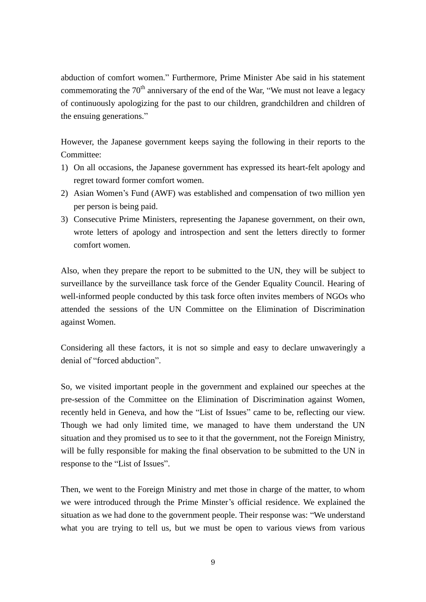abduction of comfort women." Furthermore, Prime Minister Abe said in his statement commemorating the  $70<sup>th</sup>$  anniversary of the end of the War, "We must not leave a legacy of continuously apologizing for the past to our children, grandchildren and children of the ensuing generations."

However, the Japanese government keeps saying the following in their reports to the Committee:

- 1) On all occasions, the Japanese government has expressed its heart-felt apology and regret toward former comfort women.
- 2) Asian Women's Fund (AWF) was established and compensation of two million yen per person is being paid.
- 3) Consecutive Prime Ministers, representing the Japanese government, on their own, wrote letters of apology and introspection and sent the letters directly to former comfort women.

Also, when they prepare the report to be submitted to the UN, they will be subject to surveillance by the surveillance task force of the Gender Equality Council. Hearing of well-informed people conducted by this task force often invites members of NGOs who attended the sessions of the UN Committee on the Elimination of Discrimination against Women.

Considering all these factors, it is not so simple and easy to declare unwaveringly a denial of "forced abduction".

So, we visited important people in the government and explained our speeches at the pre-session of the Committee on the Elimination of Discrimination against Women, recently held in Geneva, and how the "List of Issues" came to be, reflecting our view. Though we had only limited time, we managed to have them understand the UN situation and they promised us to see to it that the government, not the Foreign Ministry, will be fully responsible for making the final observation to be submitted to the UN in response to the "List of Issues".

Then, we went to the Foreign Ministry and met those in charge of the matter, to whom we were introduced through the Prime Minster's official residence. We explained the situation as we had done to the government people. Their response was: "We understand what you are trying to tell us, but we must be open to various views from various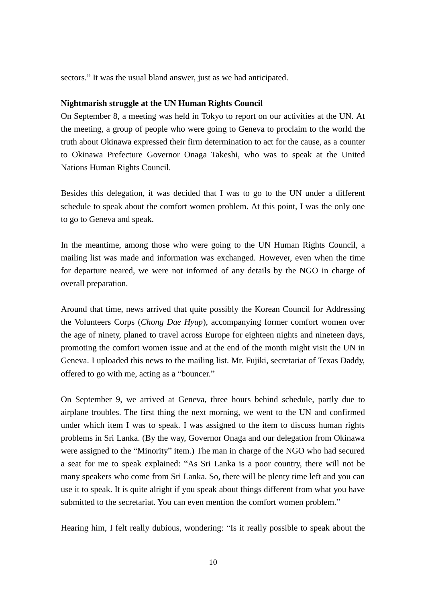sectors." It was the usual bland answer, just as we had anticipated.

#### **Nightmarish struggle at the UN Human Rights Council**

On September 8, a meeting was held in Tokyo to report on our activities at the UN. At the meeting, a group of people who were going to Geneva to proclaim to the world the truth about Okinawa expressed their firm determination to act for the cause, as a counter to Okinawa Prefecture Governor Onaga Takeshi, who was to speak at the United Nations Human Rights Council.

Besides this delegation, it was decided that I was to go to the UN under a different schedule to speak about the comfort women problem. At this point, I was the only one to go to Geneva and speak.

In the meantime, among those who were going to the UN Human Rights Council, a mailing list was made and information was exchanged. However, even when the time for departure neared, we were not informed of any details by the NGO in charge of overall preparation.

Around that time, news arrived that quite possibly the Korean Council for Addressing the Volunteers Corps (*Chong Dae Hyup*), accompanying former comfort women over the age of ninety, planed to travel across Europe for eighteen nights and nineteen days, promoting the comfort women issue and at the end of the month might visit the UN in Geneva. I uploaded this news to the mailing list. Mr. Fujiki, secretariat of Texas Daddy, offered to go with me, acting as a "bouncer."

On September 9, we arrived at Geneva, three hours behind schedule, partly due to airplane troubles. The first thing the next morning, we went to the UN and confirmed under which item I was to speak. I was assigned to the item to discuss human rights problems in Sri Lanka. (By the way, Governor Onaga and our delegation from Okinawa were assigned to the "Minority" item.) The man in charge of the NGO who had secured a seat for me to speak explained: "As Sri Lanka is a poor country, there will not be many speakers who come from Sri Lanka. So, there will be plenty time left and you can use it to speak. It is quite alright if you speak about things different from what you have submitted to the secretariat. You can even mention the comfort women problem."

Hearing him, I felt really dubious, wondering: "Is it really possible to speak about the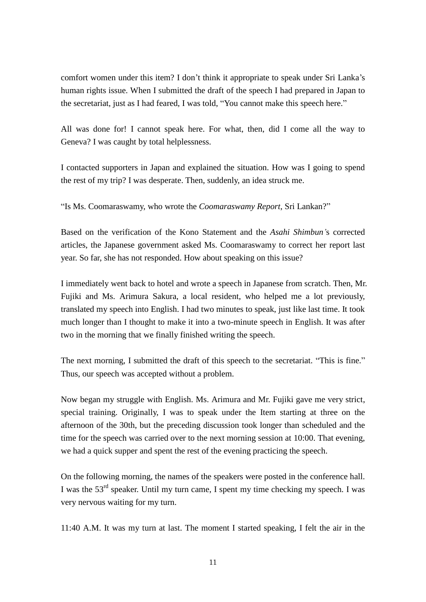comfort women under this item? I don't think it appropriate to speak under Sri Lanka's human rights issue. When I submitted the draft of the speech I had prepared in Japan to the secretariat, just as I had feared, I was told, "You cannot make this speech here."

All was done for! I cannot speak here. For what, then, did I come all the way to Geneva? I was caught by total helplessness.

I contacted supporters in Japan and explained the situation. How was I going to spend the rest of my trip? I was desperate. Then, suddenly, an idea struck me.

"Is Ms. Coomaraswamy, who wrote the *Coomaraswamy Report*, Sri Lankan?"

Based on the verification of the Kono Statement and the *Asahi Shimbun'*s corrected articles, the Japanese government asked Ms. Coomaraswamy to correct her report last year. So far, she has not responded. How about speaking on this issue?

I immediately went back to hotel and wrote a speech in Japanese from scratch. Then, Mr. Fujiki and Ms. Arimura Sakura, a local resident, who helped me a lot previously, translated my speech into English. I had two minutes to speak, just like last time. It took much longer than I thought to make it into a two-minute speech in English. It was after two in the morning that we finally finished writing the speech.

The next morning, I submitted the draft of this speech to the secretariat. "This is fine." Thus, our speech was accepted without a problem.

Now began my struggle with English. Ms. Arimura and Mr. Fujiki gave me very strict, special training. Originally, I was to speak under the Item starting at three on the afternoon of the 30th, but the preceding discussion took longer than scheduled and the time for the speech was carried over to the next morning session at 10:00. That evening, we had a quick supper and spent the rest of the evening practicing the speech.

On the following morning, the names of the speakers were posted in the conference hall. I was the  $53<sup>rd</sup>$  speaker. Until my turn came, I spent my time checking my speech. I was very nervous waiting for my turn.

11:40 A.M. It was my turn at last. The moment I started speaking, I felt the air in the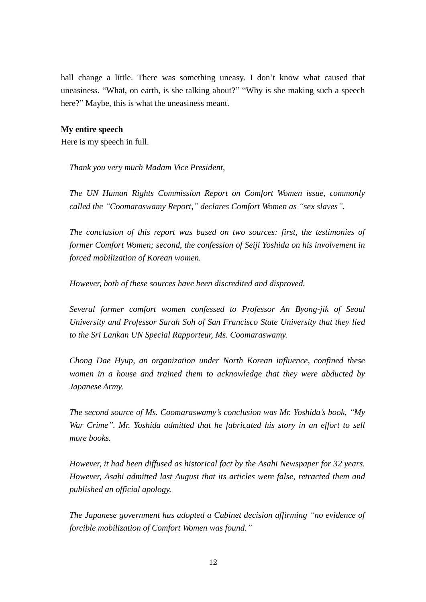hall change a little. There was something uneasy. I don't know what caused that uneasiness. "What, on earth, is she talking about?" "Why is she making such a speech here?" Maybe, this is what the uneasiness meant.

#### **My entire speech**

Here is my speech in full.

*Thank you very much Madam Vice President,*

 *The UN Human Rights Commission Report on Comfort Women issue, commonly called the "Coomaraswamy Report," declares Comfort Women as "sex slaves".* 

 *The conclusion of this report was based on two sources: first, the testimonies of former Comfort Women; second, the confession of Seiji Yoshida on his involvement in forced mobilization of Korean women.*

 *However, both of these sources have been discredited and disproved.*

 *Several former comfort women confessed to Professor An Byong-jik of Seoul University and Professor Sarah Soh of San Francisco State University that they lied to the Sri Lankan UN Special Rapporteur, Ms. Coomaraswamy.* 

 *Chong Dae Hyup, an organization under North Korean influence, confined these women in a house and trained them to acknowledge that they were abducted by Japanese Army.* 

 *The second source of Ms. Coomaraswamy's conclusion was Mr. Yoshida's book, "My War Crime". Mr. Yoshida admitted that he fabricated his story in an effort to sell more books.* 

 *However, it had been diffused as historical fact by the Asahi Newspaper for 32 years. However, Asahi admitted last August that its articles were false, retracted them and published an official apology.* 

 *The Japanese government has adopted a Cabinet decision affirming "no evidence of forcible mobilization of Comfort Women was found."*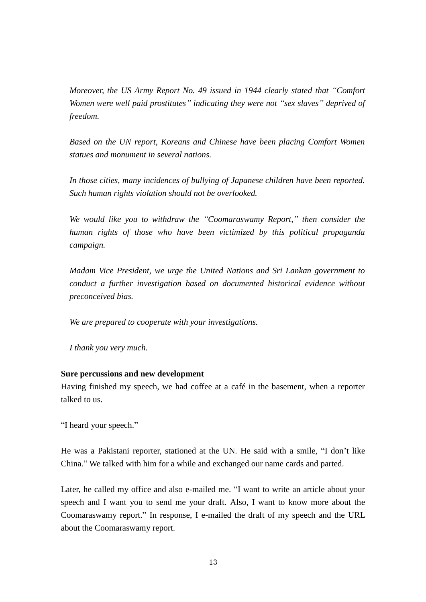*Moreover, the US Army Report No. 49 issued in 1944 clearly stated that "Comfort Women were well paid prostitutes" indicating they were not "sex slaves" deprived of freedom.* 

 *Based on the UN report, Koreans and Chinese have been placing Comfort Women statues and monument in several nations.* 

 *In those cities, many incidences of bullying of Japanese children have been reported. Such human rights violation should not be overlooked.* 

 *We would like you to withdraw the "Coomaraswamy Report," then consider the human rights of those who have been victimized by this political propaganda campaign.* 

 *Madam Vice President, we urge the United Nations and Sri Lankan government to conduct a further investigation based on documented historical evidence without preconceived bias.* 

 *We are prepared to cooperate with your investigations.* 

 *I thank you very much.* 

#### **Sure percussions and new development**

Having finished my speech, we had coffee at a café in the basement, when a reporter talked to us.

"I heard your speech."

He was a Pakistani reporter, stationed at the UN. He said with a smile, "I don't like China." We talked with him for a while and exchanged our name cards and parted.

Later, he called my office and also e-mailed me. "I want to write an article about your speech and I want you to send me your draft. Also, I want to know more about the Coomaraswamy report." In response, I e-mailed the draft of my speech and the URL about the Coomaraswamy report.